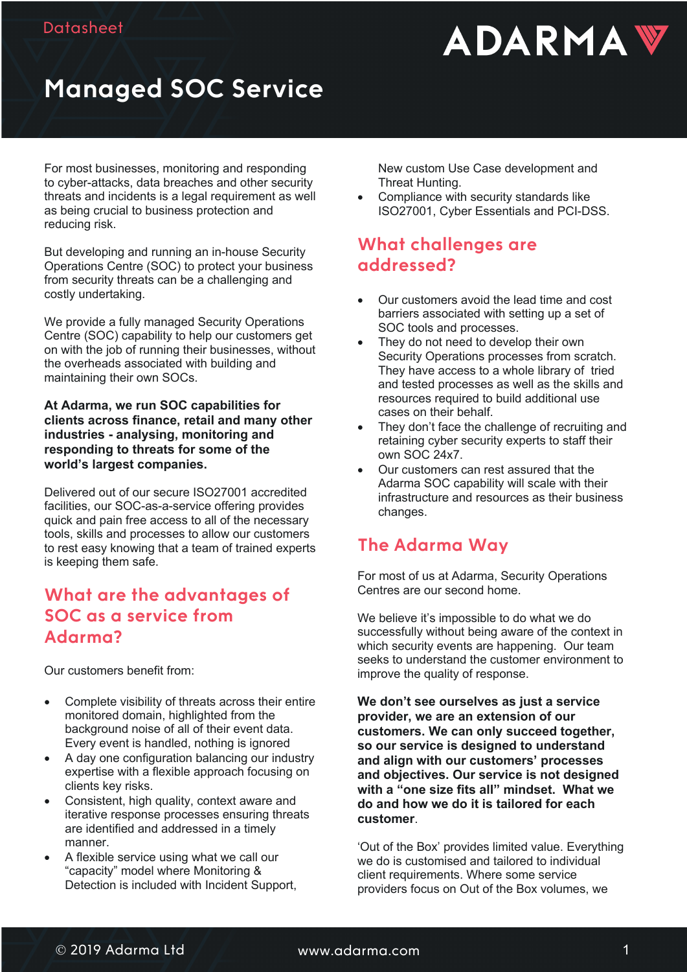

# **Managed SOC Service**

For most businesses, monitoring and responding to cyber-attacks, data breaches and other security threats and incidents is a legal requirement as well as being crucial to business protection and reducing risk.

But developing and running an in-house Security Operations Centre (SOC) to protect your business from security threats can be a challenging and costly undertaking.

We provide a fully managed Security Operations Centre (SOC) capability to help our customers get on with the job of running their businesses, without the overheads associated with building and maintaining their own SOCs.

**At Adarma, we run SOC capabilities for clients across finance, retail and many other industries - analysing, monitoring and responding to threats for some of the world's largest companies.**

Delivered out of our secure ISO27001 accredited facilities, our SOC-as-a-service offering provides quick and pain free access to all of the necessary tools, skills and processes to allow our customers to rest easy knowing that a team of trained experts is keeping them safe.

#### **What are the advantages of SOC as a service from Adarma?**

Our customers benefit from:

- Complete visibility of threats across their entire monitored domain, highlighted from the background noise of all of their event data. Every event is handled, nothing is ignored
- A day one configuration balancing our industry expertise with a flexible approach focusing on clients key risks.
- Consistent, high quality, context aware and iterative response processes ensuring threats are identified and addressed in a timely manner.
- A flexible service using what we call our "capacity" model where Monitoring & Detection is included with Incident Support,

New custom Use Case development and Threat Hunting.

• Compliance with security standards like ISO27001, Cyber Essentials and PCI-DSS.

#### **What challenges are addressed?**

- Our customers avoid the lead time and cost barriers associated with setting up a set of SOC tools and processes.
- They do not need to develop their own Security Operations processes from scratch. They have access to a whole library of tried and tested processes as well as the skills and resources required to build additional use cases on their behalf.
- They don't face the challenge of recruiting and retaining cyber security experts to staff their own SOC 24x7.
- Our customers can rest assured that the Adarma SOC capability will scale with their infrastructure and resources as their business changes.

### **The Adarma Way**

For most of us at Adarma, Security Operations Centres are our second home.

We believe it's impossible to do what we do successfully without being aware of the context in which security events are happening. Our team seeks to understand the customer environment to improve the quality of response.

**We don't see ourselves as just a service provider, we are an extension of our customers. We can only succeed together, so our service is designed to understand and align with our customers' processes and objectives. Our service is not designed with a "one size fits all" mindset. What we do and how we do it is tailored for each customer**.

'Out of the Box' provides limited value. Everything we do is customised and tailored to individual client requirements. Where some service providers focus on Out of the Box volumes, we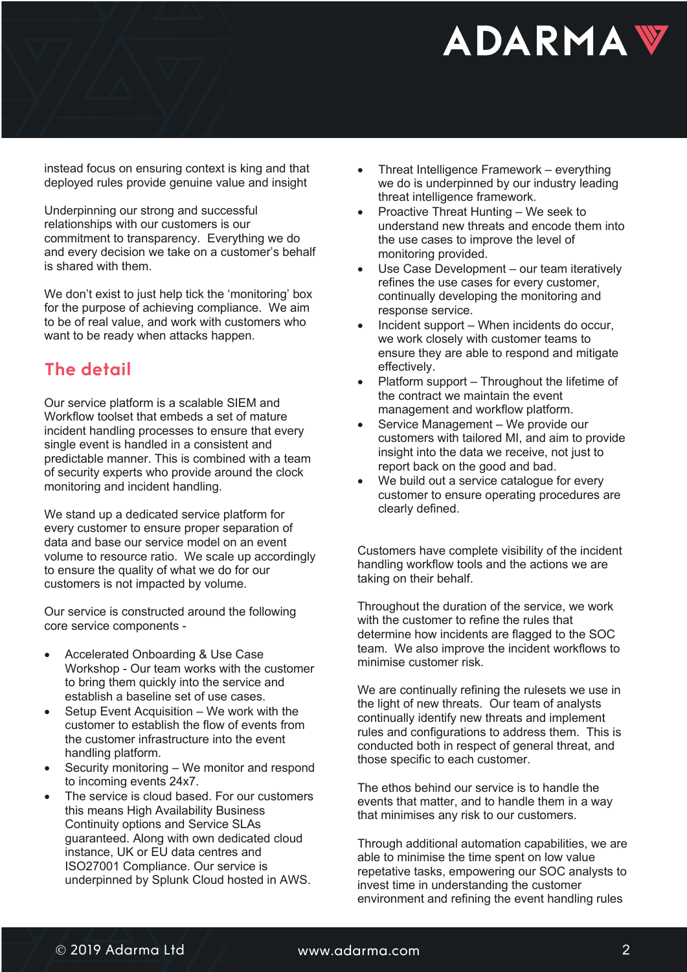# **ADARMAY**

instead focus on ensuring context is king and that deployed rules provide genuine value and insight

Underpinning our strong and successful relationships with our customers is our commitment to transparency. Everything we do and every decision we take on a customer's behalf is shared with them.

We don't exist to just help tick the 'monitoring' box for the purpose of achieving compliance. We aim to be of real value, and work with customers who want to be ready when attacks happen.

## **The detail**

Our service platform is a scalable SIEM and Workflow toolset that embeds a set of mature incident handling processes to ensure that every single event is handled in a consistent and predictable manner. This is combined with a team of security experts who provide around the clock monitoring and incident handling.

We stand up a dedicated service platform for every customer to ensure proper separation of data and base our service model on an event volume to resource ratio. We scale up accordingly to ensure the quality of what we do for our customers is not impacted by volume.

Our service is constructed around the following core service components -

- Accelerated Onboarding & Use Case Workshop - Our team works with the customer to bring them quickly into the service and establish a baseline set of use cases.
- Setup Event Acquisition We work with the customer to establish the flow of events from the customer infrastructure into the event handling platform.
- Security monitoring We monitor and respond to incoming events 24x7.
- The service is cloud based. For our customers this means High Availability Business Continuity options and Service SLAs guaranteed. Along with own dedicated cloud instance, UK or EU data centres and ISO27001 Compliance. Our service is underpinned by Splunk Cloud hosted in AWS.
- Threat Intelligence Framework everything we do is underpinned by our industry leading threat intelligence framework.
- Proactive Threat Hunting We seek to understand new threats and encode them into the use cases to improve the level of monitoring provided.
- Use Case Development our team iteratively refines the use cases for every customer, continually developing the monitoring and response service.
- Incident support When incidents do occur, we work closely with customer teams to ensure they are able to respond and mitigate effectively.
- Platform support Throughout the lifetime of the contract we maintain the event management and workflow platform.
- Service Management We provide our customers with tailored MI, and aim to provide insight into the data we receive, not just to report back on the good and bad.
- We build out a service catalogue for every customer to ensure operating procedures are clearly defined.

Customers have complete visibility of the incident handling workflow tools and the actions we are taking on their behalf.

Throughout the duration of the service, we work with the customer to refine the rules that determine how incidents are flagged to the SOC team. We also improve the incident workflows to minimise customer risk.

We are continually refining the rulesets we use in the light of new threats. Our team of analysts continually identify new threats and implement rules and configurations to address them. This is conducted both in respect of general threat, and those specific to each customer.

The ethos behind our service is to handle the events that matter, and to handle them in a way that minimises any risk to our customers.

Through additional automation capabilities, we are able to minimise the time spent on low value repetative tasks, empowering our SOC analysts to invest time in understanding the customer environment and refining the event handling rules